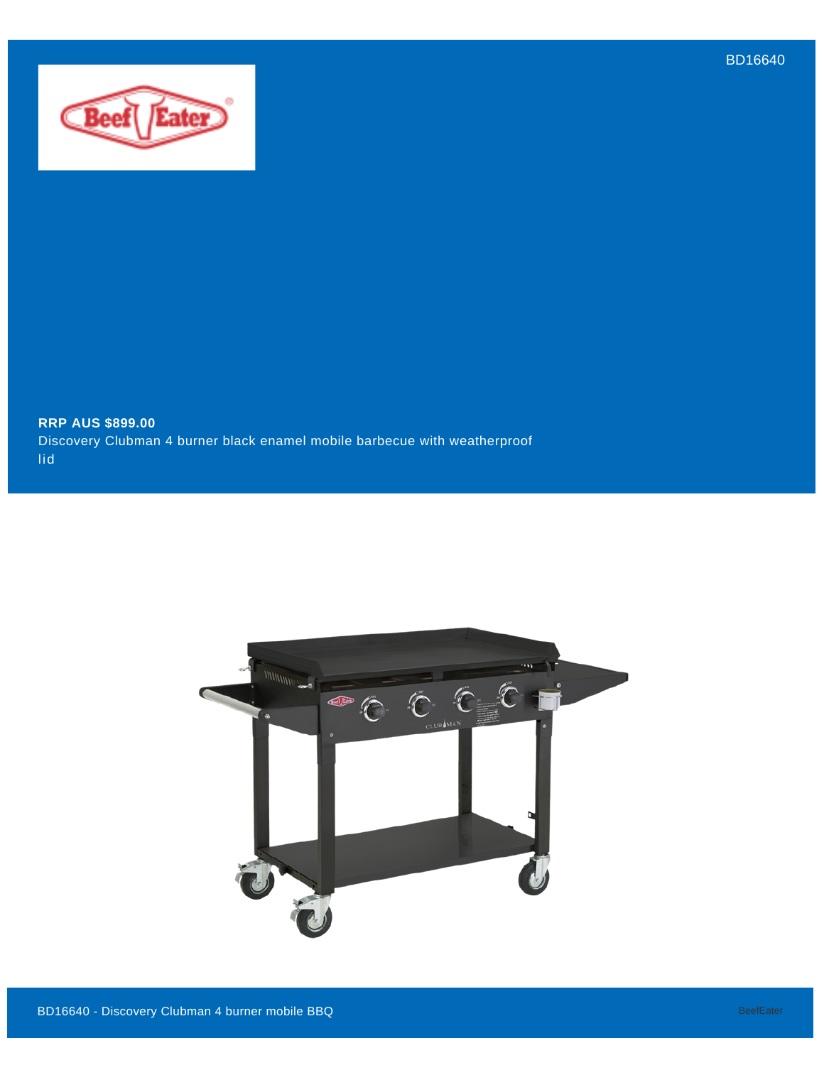BD16640



**RRP AUS \$899.00** Discovery Clubman 4 burner black enamel mobile barbecue with weatherproof lid

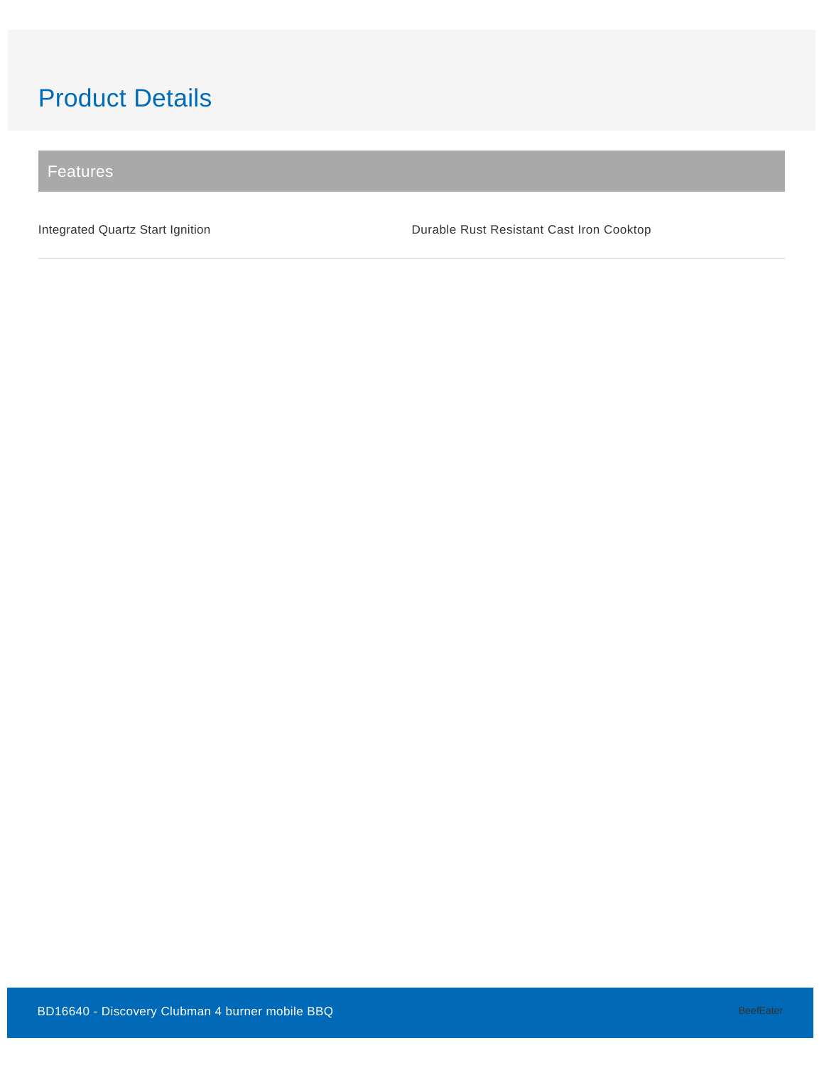# Product Details

Features

Integrated Quartz Start Ignition **Durable Rust Resistant Cast Iron Cooktop**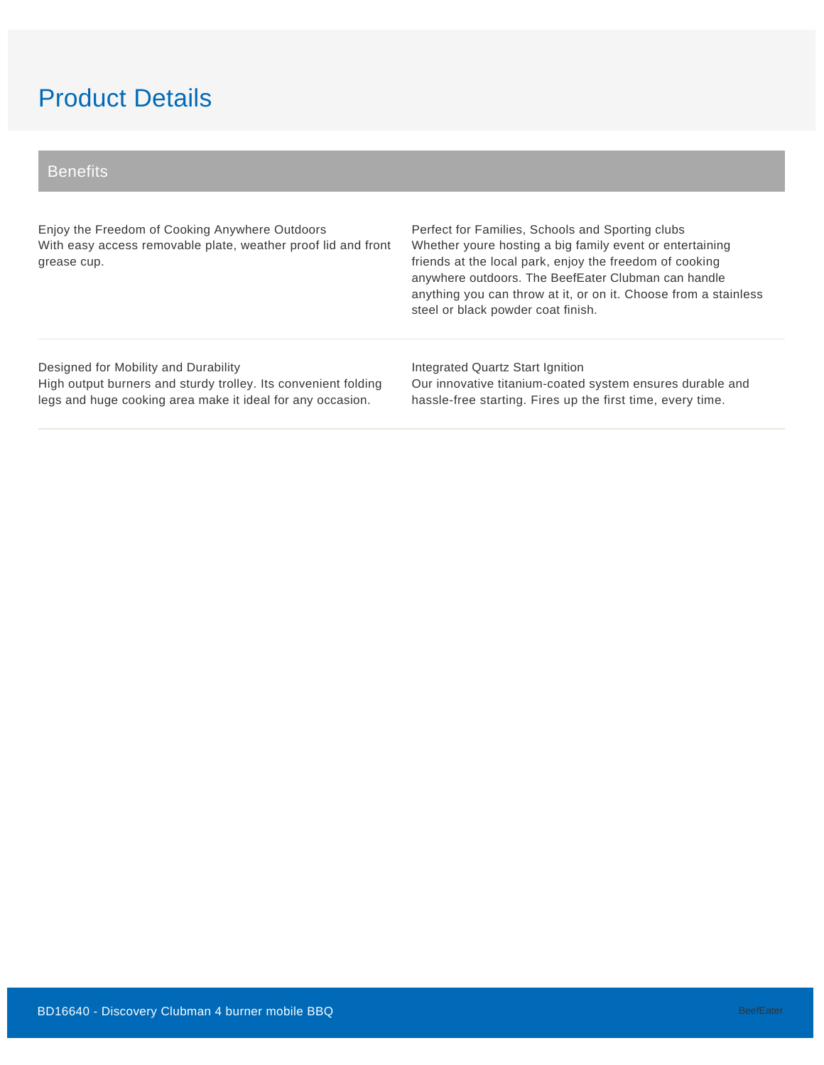## Product Details

### **Benefits**

Enjoy the Freedom of Cooking Anywhere Outdoors With easy access removable plate, weather proof lid and front grease cup.

Perfect for Families, Schools and Sporting clubs Whether youre hosting a big family event or entertaining friends at the local park, enjoy the freedom of cooking anywhere outdoors. The BeefEater Clubman can handle anything you can throw at it, or on it. Choose from a stainless steel or black powder coat finish.

#### Designed for Mobility and Durability

High output burners and sturdy trolley. Its convenient folding legs and huge cooking area make it ideal for any occasion.

Integrated Quartz Start Ignition Our innovative titanium-coated system ensures durable and hassle-free starting. Fires up the first time, every time.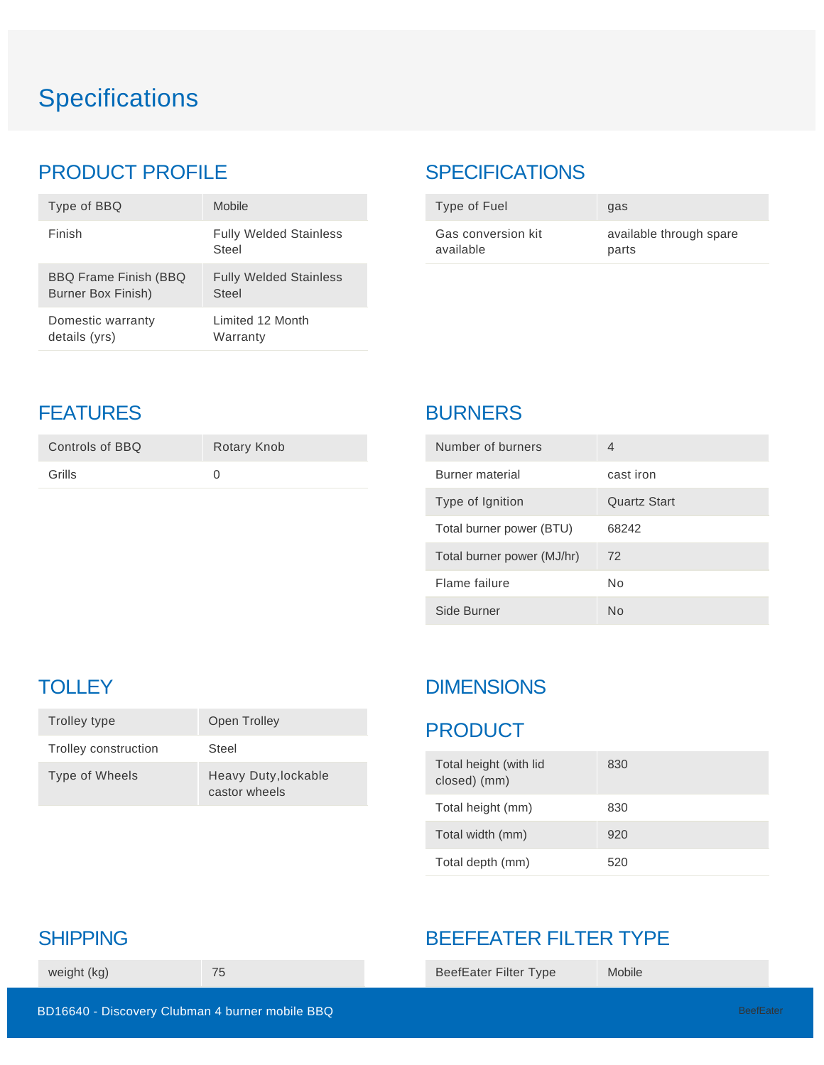# **Specifications**

## PRODUCT PROFILE

| Type of BBQ                  | <b>Mobile</b>                          |
|------------------------------|----------------------------------------|
| Finish                       | <b>Fully Welded Stainless</b><br>Steel |
| <b>BBQ Frame Finish (BBQ</b> | <b>Fully Welded Stainless</b>          |
| Burner Box Finish)           | Steel                                  |
| Domestic warranty            | Limited 12 Month                       |
| details (yrs)                | Warranty                               |

## **SPECIFICATIONS**

| Type of Fuel       | gas                     |
|--------------------|-------------------------|
| Gas conversion kit | available through spare |
| available          | parts                   |

## **FEATURES**

| Controls of BBQ | Rotary Knob |
|-----------------|-------------|
| Grills          |             |
|                 |             |

## BURNERS

| Number of burners          | 4            |
|----------------------------|--------------|
| Burner material            | cast iron    |
| Type of Ignition           | Quartz Start |
| Total burner power (BTU)   | 68242        |
| Total burner power (MJ/hr) | 72           |
| Flame failure              | Nο           |
| Side Burner                | Nο           |

## **TOLLEY**

| Trolley type         | Open Trolley                          |
|----------------------|---------------------------------------|
| Trolley construction | Steel                                 |
| Type of Wheels       | Heavy Duty, lockable<br>castor wheels |

## **DIMENSIONS**

### PRODUCT

| Total height (with lid<br>closed) (mm) | 830 |
|----------------------------------------|-----|
| Total height (mm)                      | 830 |
| Total width (mm)                       | 920 |
| Total depth (mm)                       | 520 |

## BEEFEATER FILTER TYPE

BeefEater Filter Type Mobile

## SHIPPING

weight (kg) 75

BD16640 - Discovery Clubman 4 burner mobile BBQ and the contract of the contract of the contract of the BeefEater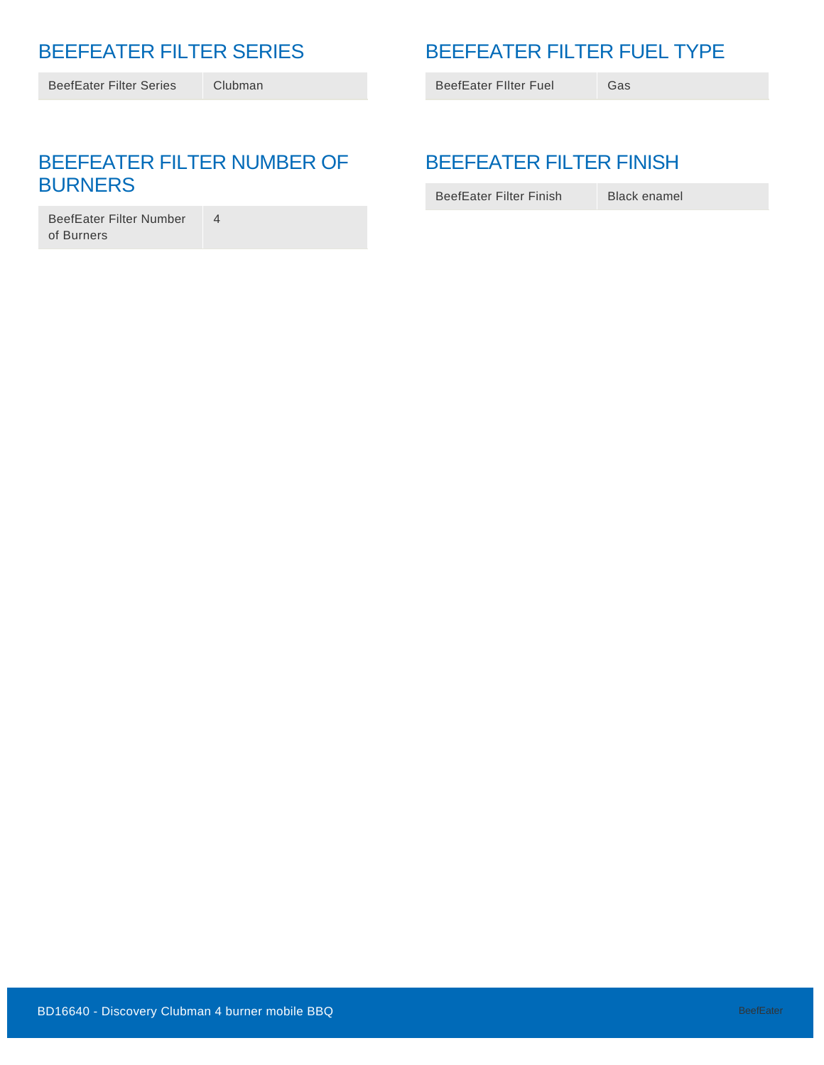## BEEFEATER FILTER SERIES

BeefEater Filter Series Clubman

## BEEFEATER FILTER FUEL TYPE

BeefEater Filter Fuel Gas

### BEEFEATER FILTER NUMBER OF BURNERS

4

BeefEater Filter Number of Burners

## BEEFEATER FILTER FINISH

BeefEater Filter Finish Black enamel